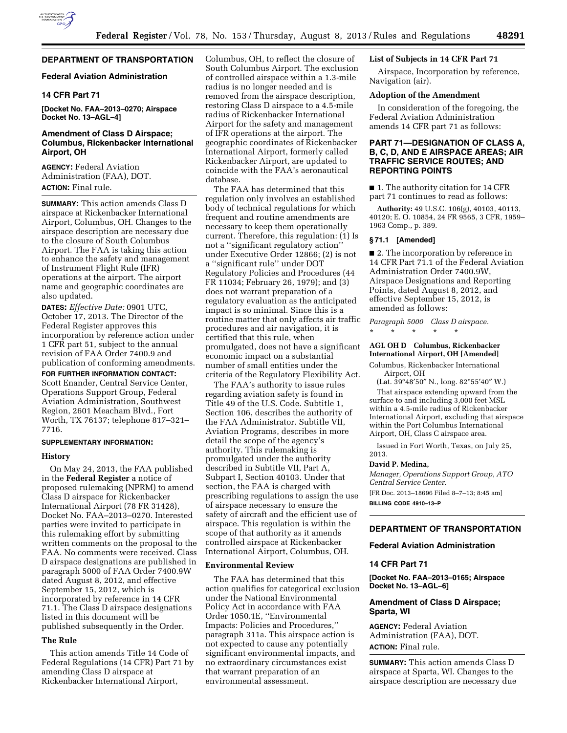

# **DEPARTMENT OF TRANSPORTATION**

## **Federal Aviation Administration**

## **14 CFR Part 71**

**[Docket No. FAA–2013–0270; Airspace Docket No. 13–AGL–4]** 

## **Amendment of Class D Airspace; Columbus, Rickenbacker International Airport, OH**

**AGENCY:** Federal Aviation Administration (FAA), DOT. **ACTION:** Final rule.

**SUMMARY:** This action amends Class D airspace at Rickenbacker International Airport, Columbus, OH. Changes to the airspace description are necessary due to the closure of South Columbus Airport. The FAA is taking this action to enhance the safety and management of Instrument Flight Rule (IFR) operations at the airport. The airport name and geographic coordinates are also updated.

**DATES:** *Effective Date:* 0901 UTC, October 17, 2013. The Director of the Federal Register approves this incorporation by reference action under 1 CFR part 51, subject to the annual revision of FAA Order 7400.9 and publication of conforming amendments.

**FOR FURTHER INFORMATION CONTACT:**  Scott Enander, Central Service Center, Operations Support Group, Federal Aviation Administration, Southwest Region, 2601 Meacham Blvd., Fort Worth, TX 76137; telephone 817–321– 7716.

#### **SUPPLEMENTARY INFORMATION:**

## **History**

On May 24, 2013, the FAA published in the **Federal Register** a notice of proposed rulemaking (NPRM) to amend Class D airspace for Rickenbacker International Airport (78 FR 31428), Docket No. FAA–2013–0270. Interested parties were invited to participate in this rulemaking effort by submitting written comments on the proposal to the FAA. No comments were received. Class D airspace designations are published in paragraph 5000 of FAA Order 7400.9W dated August 8, 2012, and effective September 15, 2012, which is incorporated by reference in 14 CFR 71.1. The Class D airspace designations listed in this document will be published subsequently in the Order.

#### **The Rule**

This action amends Title 14 Code of Federal Regulations (14 CFR) Part 71 by amending Class D airspace at Rickenbacker International Airport,

Columbus, OH, to reflect the closure of South Columbus Airport. The exclusion of controlled airspace within a 1.3-mile radius is no longer needed and is removed from the airspace description, restoring Class D airspace to a 4.5-mile radius of Rickenbacker International Airport for the safety and management of IFR operations at the airport. The geographic coordinates of Rickenbacker International Airport, formerly called Rickenbacker Airport, are updated to coincide with the FAA's aeronautical database.

The FAA has determined that this regulation only involves an established body of technical regulations for which frequent and routine amendments are necessary to keep them operationally current. Therefore, this regulation: (1) Is not a ''significant regulatory action'' under Executive Order 12866; (2) is not a ''significant rule'' under DOT Regulatory Policies and Procedures (44 FR 11034; February 26, 1979); and (3) does not warrant preparation of a regulatory evaluation as the anticipated impact is so minimal. Since this is a routine matter that only affects air traffic procedures and air navigation, it is certified that this rule, when promulgated, does not have a significant economic impact on a substantial number of small entities under the criteria of the Regulatory Flexibility Act.

The FAA's authority to issue rules regarding aviation safety is found in Title 49 of the U.S. Code. Subtitle 1, Section 106, describes the authority of the FAA Administrator. Subtitle VII, Aviation Programs, describes in more detail the scope of the agency's authority. This rulemaking is promulgated under the authority described in Subtitle VII, Part A, Subpart I, Section 40103. Under that section, the FAA is charged with prescribing regulations to assign the use of airspace necessary to ensure the safety of aircraft and the efficient use of airspace. This regulation is within the scope of that authority as it amends controlled airspace at Rickenbacker International Airport, Columbus, OH.

#### **Environmental Review**

The FAA has determined that this action qualifies for categorical exclusion under the National Environmental Policy Act in accordance with FAA Order 1050.1E, ''Environmental Impacts: Policies and Procedures,'' paragraph 311a. This airspace action is not expected to cause any potentially significant environmental impacts, and no extraordinary circumstances exist that warrant preparation of an environmental assessment.

## **List of Subjects in 14 CFR Part 71**

Airspace, Incorporation by reference, Navigation (air).

### **Adoption of the Amendment**

In consideration of the foregoing, the Federal Aviation Administration amends 14 CFR part 71 as follows:

## **PART 71—DESIGNATION OF CLASS A, B, C, D, AND E AIRSPACE AREAS; AIR TRAFFIC SERVICE ROUTES; AND REPORTING POINTS**

■ 1. The authority citation for 14 CFR part 71 continues to read as follows:

**Authority:** 49 U.S.C. 106(g), 40103, 40113, 40120; E. O. 10854, 24 FR 9565, 3 CFR, 1959– 1963 Comp., p. 389.

#### **§ 71.1 [Amended]**

■ 2. The incorporation by reference in 14 CFR Part 71.1 of the Federal Aviation Administration Order 7400.9W, Airspace Designations and Reporting Points, dated August 8, 2012, and effective September 15, 2012, is amended as follows:

*Paragraph 5000 Class D airspace.* 

# \* \* \* \* \*

# **AGL OH D Columbus, Rickenbacker International Airport, OH [Amended]**

Columbus, Rickenbacker International Airport, OH

(Lat. 39°48'50" N., long. 82°55'40" W.) That airspace extending upward from the surface to and including 3,000 feet MSL within a 4.5-mile radius of Rickenbacker International Airport, excluding that airspace within the Port Columbus International Airport, OH, Class C airspace area.

Issued in Fort Worth, Texas, on July 25, 2013.

#### **David P. Medina,**

*Manager, Operations Support Group, ATO Central Service Center.* 

[FR Doc. 2013–18696 Filed 8–7–13; 8:45 am] **BILLING CODE 4910–13–P** 

## **DEPARTMENT OF TRANSPORTATION**

# **Federal Aviation Administration**

## **14 CFR Part 71**

**[Docket No. FAA–2013–0165; Airspace Docket No. 13–AGL–6]** 

## **Amendment of Class D Airspace; Sparta, WI**

**AGENCY:** Federal Aviation Administration (FAA), DOT. **ACTION:** Final rule.

**SUMMARY:** This action amends Class D airspace at Sparta, WI. Changes to the airspace description are necessary due